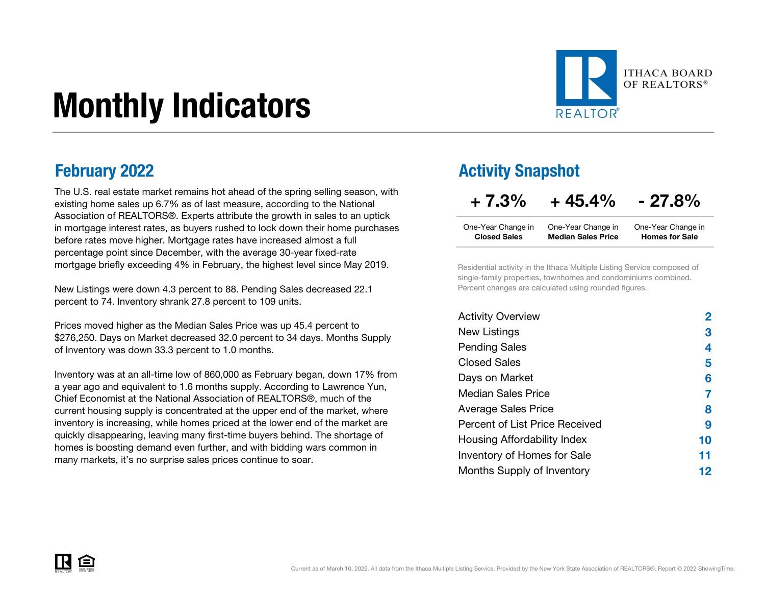# Monthly Indicators



The U.S. real estate market remains hot ahead of the spring selling season, with existing home sales up 6.7% as of last measure, according to the National Association of REALTORS®. Experts attribute the growth in sales to an uptick in mortgage interest rates, as buyers rushed to lock down their home purchases before rates move higher. Mortgage rates have increased almost a full percentage point since December, with the average 30-year fixed-rate mortgage briefly exceeding 4% in February, the highest level since May 2019.

New Listings were down 4.3 percent to 88. Pending Sales decreased 22.1 percent to 74. Inventory shrank 27.8 percent to 109 units.

Prices moved higher as the Median Sales Price was up 45.4 percent to \$276,250. Days on Market decreased 32.0 percent to 34 days. Months Supply of Inventory was down 33.3 percent to 1.0 months.

Inventory was at an all-time low of 860,000 as February began, down 17% from a year ago and equivalent to 1.6 months supply. According to Lawrence Yun, Chief Economist at the National Association of REALTORS®, much of the current housing supply is concentrated at the upper end of the market, where inventory is increasing, while homes priced at the lower end of the market are quickly disappearing, leaving many first-time buyers behind. The shortage of homes is boosting demand even further, and with bidding wars common in many markets, it's no surprise sales prices continue to soar.

### **February 2022 Activity Snapshot**

 $+ 7.3\% + 45.4\% - 27.8\%$ 

| One-Year Change in  | One-Year Change in        | One-Year Change in    |
|---------------------|---------------------------|-----------------------|
| <b>Closed Sales</b> | <b>Median Sales Price</b> | <b>Homes for Sale</b> |

Residential activity in the Ithaca Multiple Listing Service composed of single-family properties, townhomes and condominiums combined. Percent changes are calculated using rounded figures.

| <b>Activity Overview</b>       |    |
|--------------------------------|----|
| New Listings                   | 3  |
| <b>Pending Sales</b>           | 4  |
| <b>Closed Sales</b>            | 5  |
| Days on Market                 | 6  |
| Median Sales Price             |    |
| <b>Average Sales Price</b>     | 8  |
| Percent of List Price Received | 9  |
| Housing Affordability Index    | 10 |
| Inventory of Homes for Sale    | 11 |
| Months Supply of Inventory     | 12 |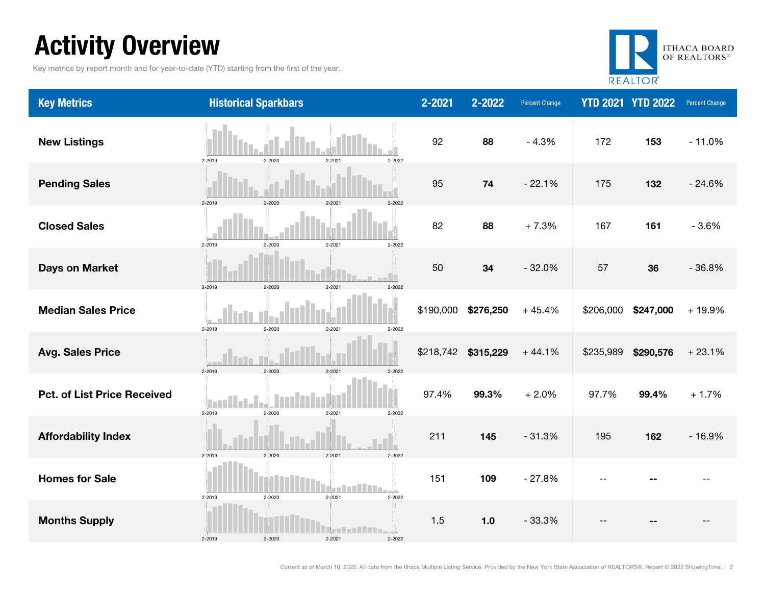### Activity Overview

Key metrics by report month and for year-to-date (YTD) starting from the first of the year.



| <b>Key Metrics</b>                 | <b>Historical Sparkbars</b>                                          | 2-2021    | 2-2022    | <b>Percent Change</b> |           | <b>YTD 2021 YTD 2022</b> | Percent Change |
|------------------------------------|----------------------------------------------------------------------|-----------|-----------|-----------------------|-----------|--------------------------|----------------|
| <b>New Listings</b>                | 2-2019<br>2-2020<br>2-2021<br>2-2022                                 | 92        | 88        | $-4.3%$               | 172       | 153                      | $-11.0%$       |
| <b>Pending Sales</b>               | 2-2020<br>$2 - 2021$<br>2-2022<br>2-2019                             | 95        | 74        | $-22.1%$              | 175       | 132                      | $-24.6%$       |
| <b>Closed Sales</b>                | 2-2019<br>2-2020<br>$2 - 2021$<br>2-2022                             | 82        | 88        | $+7.3%$               | 167       | 161                      | $-3.6%$        |
| <b>Days on Market</b>              | 2-2019<br>2-2020<br>$2 - 2021$<br>2-2022                             | 50        | 34        | $-32.0%$              | 57        | 36                       | $-36.8%$       |
| <b>Median Sales Price</b>          | 2-2019<br>$2 - 2020$<br>$2 - 2021$<br>2-2022                         | \$190,000 | \$276,250 | $+45.4%$              | \$206,000 | \$247,000                | $+19.9%$       |
| <b>Avg. Sales Price</b>            | 2-2020<br>2-2019<br>$2 - 2021$<br>2-2022                             | \$218,742 | \$315,229 | $+44.1%$              | \$235,989 | \$290,576                | $+23.1%$       |
| <b>Pct. of List Price Received</b> | l Ti<br>2-2019<br>$2 - 2020$<br>$2 - 2021$<br>2-2022                 | 97.4%     | 99.3%     | $+2.0%$               | 97.7%     | 99.4%                    | $+1.7%$        |
| <b>Affordability Index</b>         | $2 - 2020$<br>$2 - 2021$<br>2-2022<br>2-2019                         | 211       | 145       | $-31.3%$              | 195       | 162                      | $-16.9%$       |
| <b>Homes for Sale</b>              | $2 - 2020$<br>$2 - 2021$<br>2-2019<br>2-2022                         | 151       | 109       | $-27.8%$              | $-$       |                          |                |
| <b>Months Supply</b>               | an taoni i lime.<br>2-2019<br>$2 - 2020$<br>$2 - 2021$<br>$2 - 2022$ | 1.5       | $1.0$     | $-33.3%$              |           |                          |                |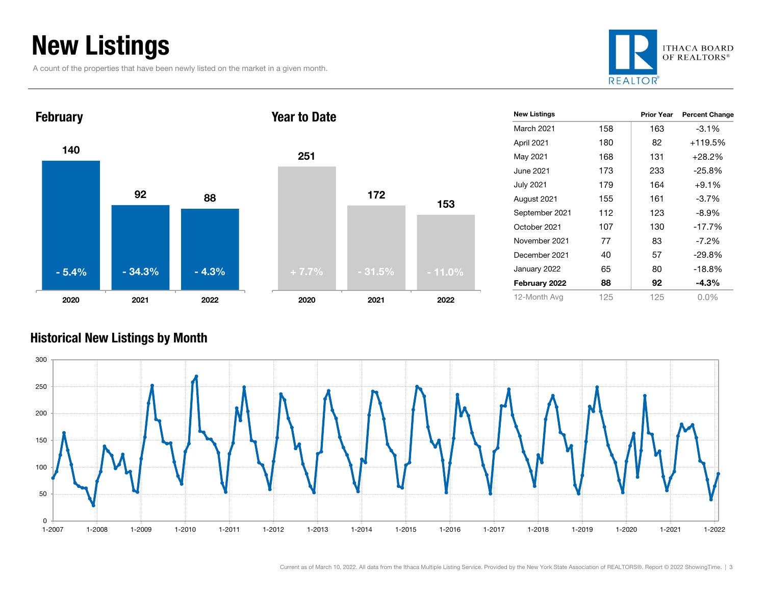### New Listings

A count of the properties that have been newly listed on the market in a given month.





#### Historical New Listings by Month

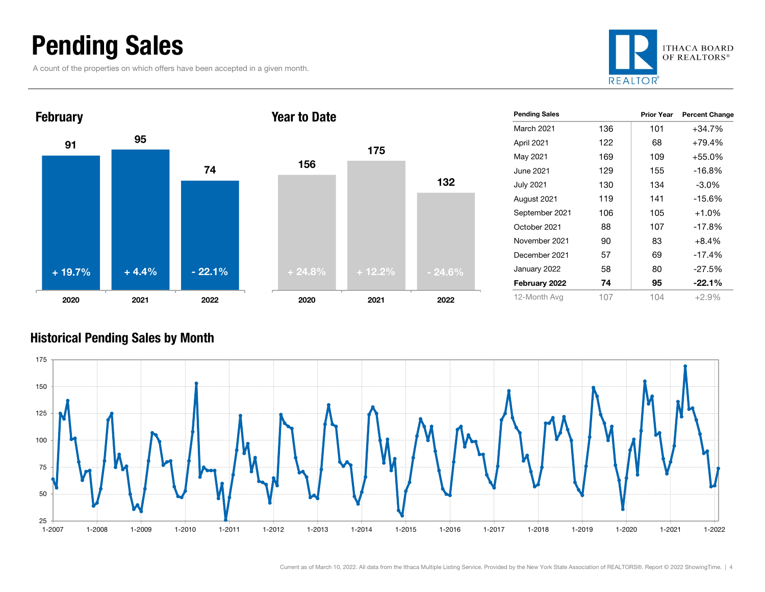### Pending Sales

A count of the properties on which offers have been accepted in a given month.





| <b>Pending Sales</b> |     | <b>Prior Year</b> | <b>Percent Change</b> |
|----------------------|-----|-------------------|-----------------------|
| <b>March 2021</b>    | 136 | 101               | $+34.7%$              |
| April 2021           | 122 | 68                | $+79.4%$              |
| May 2021             | 169 | 109               | $+55.0%$              |
| June 2021            | 129 | 155               | $-16.8%$              |
| <b>July 2021</b>     | 130 | 134               | $-3.0\%$              |
| August 2021          | 119 | 141               | $-15.6%$              |
| September 2021       | 106 | 105               | $+1.0%$               |
| October 2021         | 88  | 107               | $-17.8%$              |
| November 2021        | 90  | 83                | +8.4%                 |
| December 2021        | 57  | 69                | $-17.4%$              |
| January 2022         | 58  | 80                | $-27.5%$              |
| February 2022        | 74  | 95                | $-22.1\%$             |
| 12-Month Avg         | 107 | 104               | $+2.9%$               |

#### Historical Pending Sales by Month



175

132

2021 2022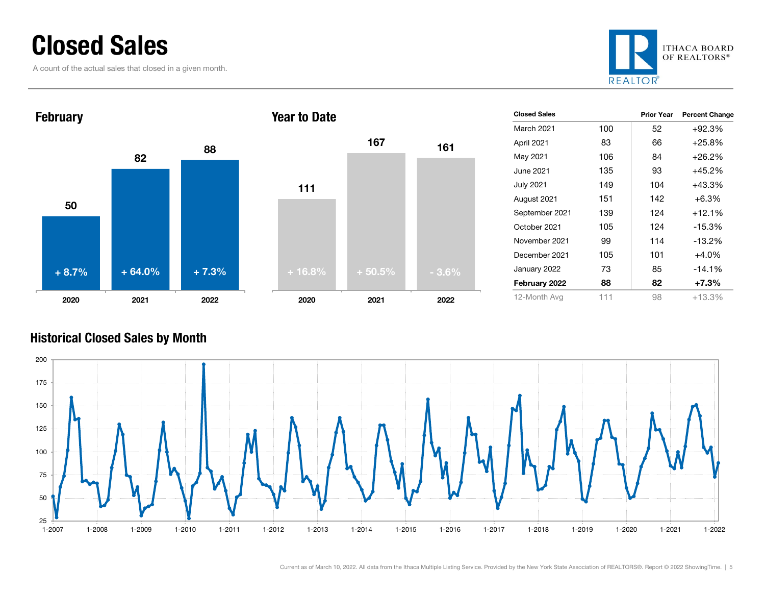### Closed Sales

A count of the actual sales that closed in a given month.





| <b>Closed Sales</b> |     | <b>Prior Year</b> | <b>Percent Change</b> |
|---------------------|-----|-------------------|-----------------------|
| March 2021          | 100 | 52                | $+92.3%$              |
| April 2021          | 83  | 66                | $+25.8%$              |
| May 2021            | 106 | 84                | $+26.2%$              |
| June 2021.          | 135 | 93                | $+45.2%$              |
| July 2021           | 149 | 104               | $+43.3%$              |
| August 2021         | 151 | 142               | $+6.3\%$              |
| September 2021      | 139 | 124               | $+12.1%$              |
| October 2021        | 105 | 124               | $-15.3%$              |
| November 2021       | 99  | 114               | $-13.2%$              |
| December 2021       | 105 | 101               | $+4.0%$               |
| January 2022        | 73  | 85                | $-14.1%$              |
| February 2022       | 88  | 82                | $+7.3\%$              |
| 12-Month Avg        | 111 | 98                | $+13.3%$              |

#### Historical Closed Sales by Month

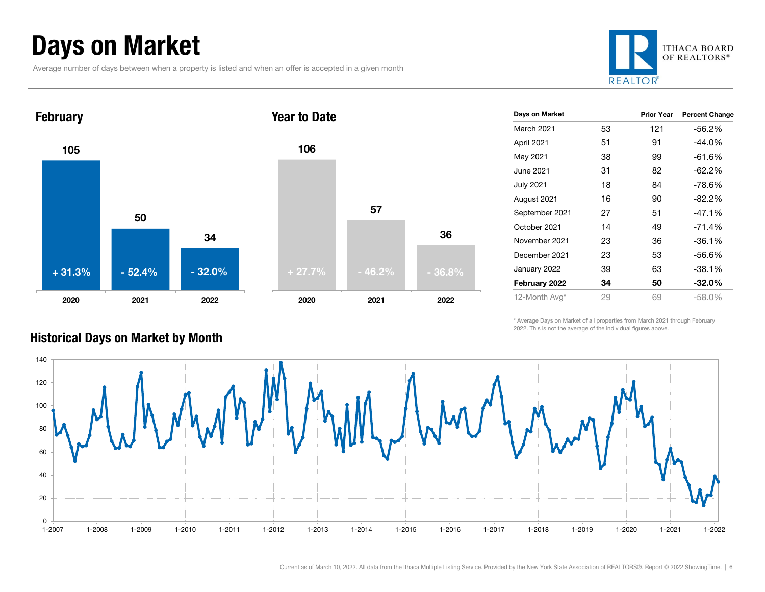### Days on Market

Average number of days between when a property is listed and when an offer is accepted in a given month







| Days on Market |    | <b>Prior Year</b> | <b>Percent Change</b> |
|----------------|----|-------------------|-----------------------|
| March 2021     | 53 | 121               | $-56.2\%$             |
| April 2021     | 51 | 91                | $-44.0%$              |
| May 2021       | 38 | 99                | $-61.6%$              |
| June 2021      | 31 | 82                | $-62.2%$              |
| July 2021      | 18 | 84                | $-78.6%$              |
| August 2021    | 16 | 90                | $-82.2%$              |
| September 2021 | 27 | 51                | $-47.1%$              |
| October 2021   | 14 | 49                | $-71.4%$              |
| November 2021  | 23 | 36                | $-36.1%$              |
| December 2021  | 23 | 53                | $-56.6%$              |
| January 2022   | 39 | 63                | $-38.1%$              |
| February 2022  | 34 | 50                | $-32.0\%$             |
| 12-Month Avg*  | 29 | 69                | $-58.0%$              |

\* Average Days on Market of all properties from March 2021 through February 2022. This is not the average of the individual figures above.



#### Historical Days on Market by Month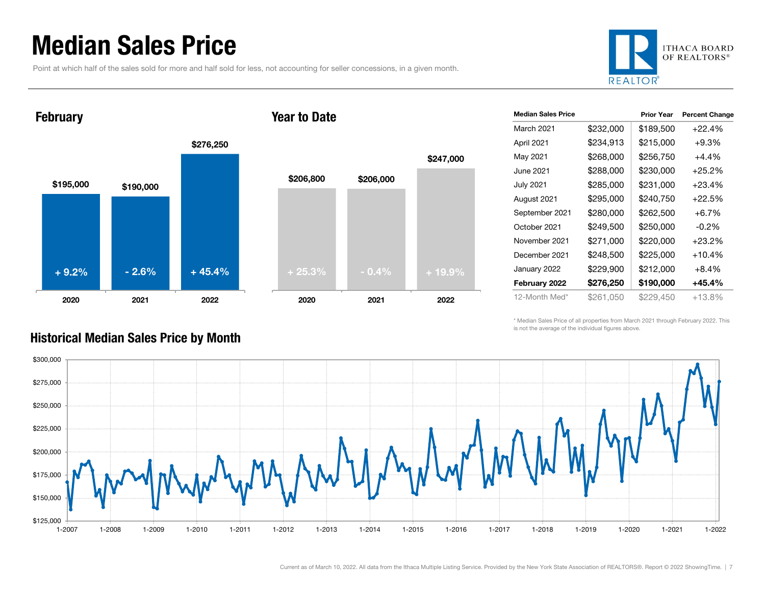### Median Sales Price

Point at which half of the sales sold for more and half sold for less, not accounting for seller concessions, in a given month.



February





|   |           |           | \$247,000 |  |
|---|-----------|-----------|-----------|--|
|   | \$206,800 | \$206,000 |           |  |
|   |           |           |           |  |
|   |           |           |           |  |
|   |           |           |           |  |
|   | $+25.3%$  | $-0.4%$   | $+19.9%$  |  |
| ٦ | 2020      | 2021      | 2022      |  |

| <b>Median Sales Price</b> |           | <b>Prior Year</b> | <b>Percent Change</b> |
|---------------------------|-----------|-------------------|-----------------------|
| March 2021                | \$232,000 | \$189,500         | $+22.4%$              |
| April 2021                | \$234,913 | \$215,000         | $+9.3%$               |
| May 2021                  | \$268,000 | \$256,750         | +4.4%                 |
| June 2021.                | \$288,000 | \$230,000         | $+25.2\%$             |
| <b>July 2021</b>          | \$285,000 | \$231,000         | $+23.4%$              |
| August 2021               | \$295,000 | \$240,750         | +22.5%                |
| September 2021            | \$280,000 | \$262,500         | $+6.7%$               |
| October 2021              | \$249,500 | \$250,000         | $-0.2\%$              |
| November 2021             | \$271,000 | \$220,000         | $+23.2%$              |
| December 2021             | \$248,500 | \$225,000         | $+10.4%$              |
| January 2022              | \$229,900 | \$212,000         | $+8.4%$               |
| February 2022             | \$276,250 | \$190,000         | +45.4%                |
| 12-Month Med*             | \$261,050 | \$229,450         | +13.8%                |

\* Median Sales Price of all properties from March 2021 through February 2022. This is not the average of the individual figures above.



#### Historical Median Sales Price by Month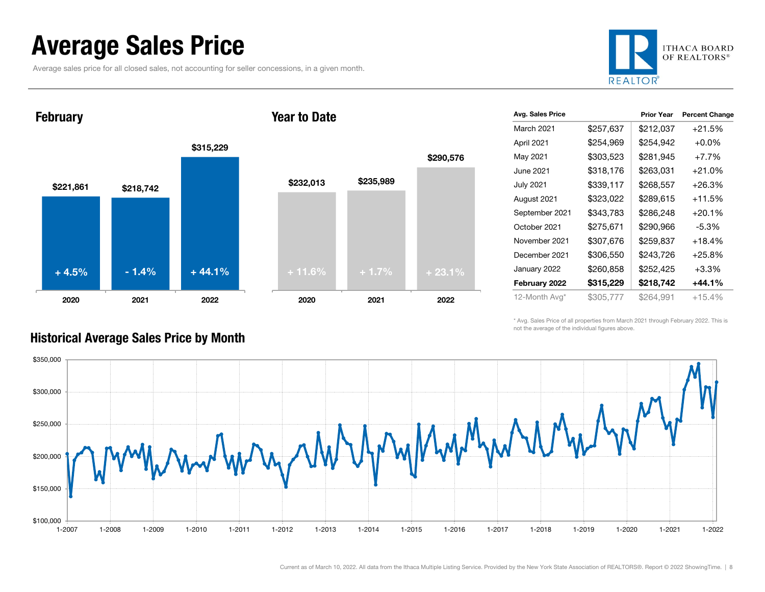### Average Sales Price

Average sales price for all closed sales, not accounting for seller concessions, in a given month.



**February** 





| Avg. Sales Price |           | <b>Prior Year</b> | <b>Percent Change</b> |
|------------------|-----------|-------------------|-----------------------|
| March 2021       | \$257,637 | \$212,037         | $+21.5%$              |
| April 2021       | \$254,969 | \$254,942         | $+0.0\%$              |
| May 2021         | \$303,523 | \$281,945         | $+7.7%$               |
| June 2021        | \$318,176 | \$263,031         | $+21.0%$              |
| <b>July 2021</b> | \$339,117 | \$268,557         | $+26.3\%$             |
| August 2021      | \$323,022 | \$289,615         | $+11.5%$              |
| September 2021   | \$343,783 | \$286,248         | $+20.1%$              |
| October 2021     | \$275,671 | \$290,966         | $-5.3%$               |
| November 2021    | \$307,676 | \$259,837         | $+18.4%$              |
| December 2021    | \$306,550 | \$243,726         | $+25.8%$              |
| January 2022     | \$260,858 | \$252,425         | $+3.3%$               |
| February 2022    | \$315,229 | \$218,742         | +44.1%                |
| 12-Month Avg*    | \$305,777 | \$264,991         | $+15.4%$              |

\* Avg. Sales Price of all properties from March 2021 through February 2022. This is not the average of the individual figures above.



#### Historical Average Sales Price by Month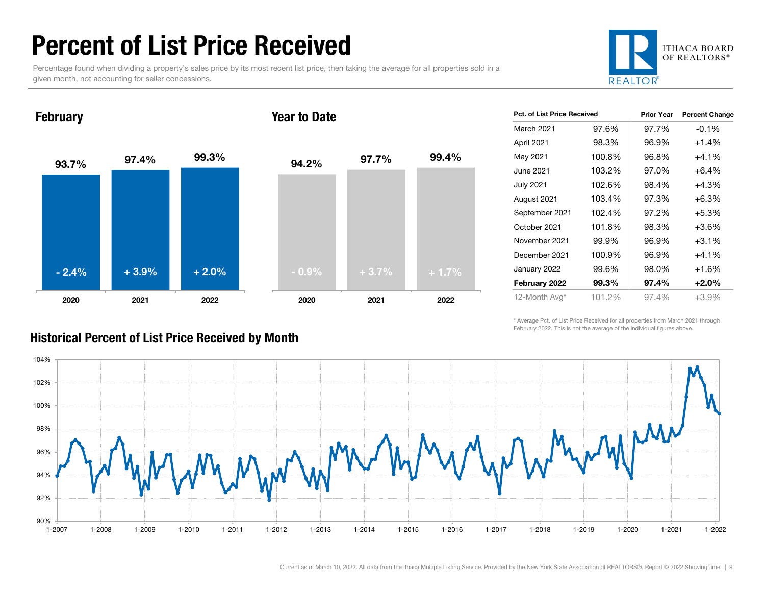### Percent of List Price Received

Percentage found when dividing a property's sales price by its most recent list price, then taking the average for all properties sold in a given month, not accounting for seller concessions.



#### 93.7% 97.4% 99.3% 2020 2021 2022 **February** 94.2% 97.7% 99.4% 2020 2021 2022 Year to Date- 2.4% $\%$  + 3.9% + 2.0% + 0.9% + 3.7% + 1.7%

| Pct. of List Price Received |        | <b>Prior Year</b> | <b>Percent Change</b> |
|-----------------------------|--------|-------------------|-----------------------|
| <b>March 2021</b>           | 97.6%  | 97.7%             | $-0.1%$               |
| April 2021                  | 98.3%  | 96.9%             | $+1.4%$               |
| May 2021                    | 100.8% | 96.8%             | $+4.1%$               |
| June 2021                   | 103.2% | 97.0%             | $+6.4%$               |
| July 2021                   | 102.6% | 98.4%             | $+4.3%$               |
| August 2021                 | 103.4% | 97.3%             | $+6.3%$               |
| September 2021              | 102.4% | 97.2%             | $+5.3%$               |
| October 2021                | 101.8% | 98.3%             | $+3.6%$               |
| November 2021               | 99.9%  | 96.9%             | $+3.1%$               |
| December 2021               | 100.9% | 96.9%             | $+4.1%$               |
| January 2022                | 99.6%  | 98.0%             | $+1.6%$               |
| February 2022               | 99.3%  | 97.4%             | $+2.0%$               |
| 12-Month Avg*               | 101.2% | 97.4%             | $+3.9%$               |

\* Average Pct. of List Price Received for all properties from March 2021 through February 2022. This is not the average of the individual figures above.



#### Historical Percent of List Price Received by Month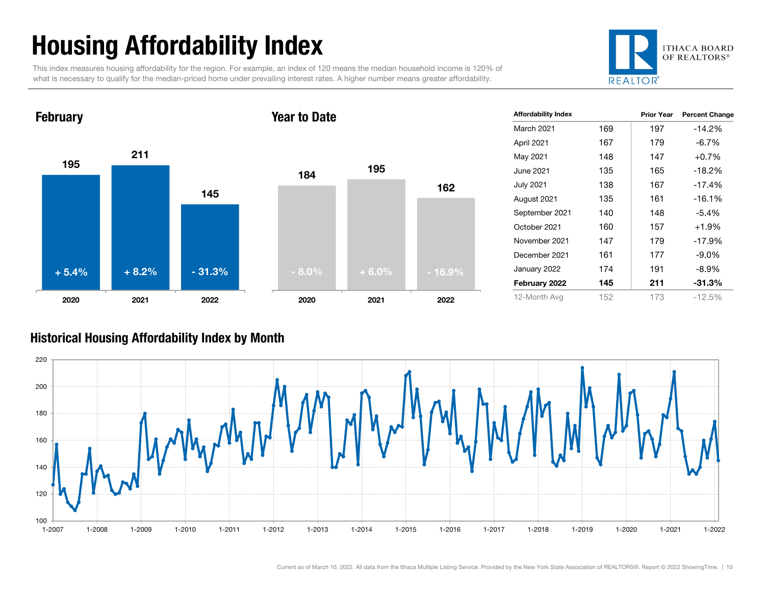## Housing Affordability Index

This index measures housing affordability for the region. For example, an index of 120 means the median household income is 120% of what is necessary to qualify for the median-priced home under prevailing interest rates. A higher number means greater affordability.



#### 1952111452020 2021 2022 February 184 <sup>195</sup> 1622020 2021 2022 Year to Date<sup>+</sup> 5.4%<sup>+</sup> 8.2% - 31.3% - 8.0% <sup>+</sup> 6.0% - 16.9%

| <b>Affordability Index</b> |     | <b>Prior Year</b> | <b>Percent Change</b> |
|----------------------------|-----|-------------------|-----------------------|
| <b>March 2021</b>          | 169 | 197               | $-14.2%$              |
| April 2021                 | 167 | 179               | $-6.7%$               |
| May 2021                   | 148 | 147               | $+0.7%$               |
| June 2021                  | 135 | 165               | $-18.2%$              |
| <b>July 2021</b>           | 138 | 167               | $-17.4%$              |
| August 2021                | 135 | 161               | $-16.1%$              |
| September 2021             | 140 | 148               | $-5.4\%$              |
| October 2021               | 160 | 157               | $+1.9%$               |
| November 2021              | 147 | 179               | $-17.9%$              |
| December 2021              | 161 | 177               | $-9.0\%$              |
| January 2022               | 174 | 191               | $-8.9\%$              |
| February 2022              | 145 | 211               | $-31.3%$              |
| 12-Month Avg               | 152 | 173               | $-12.5%$              |

#### Historical Housing Affordability Index by Mont h

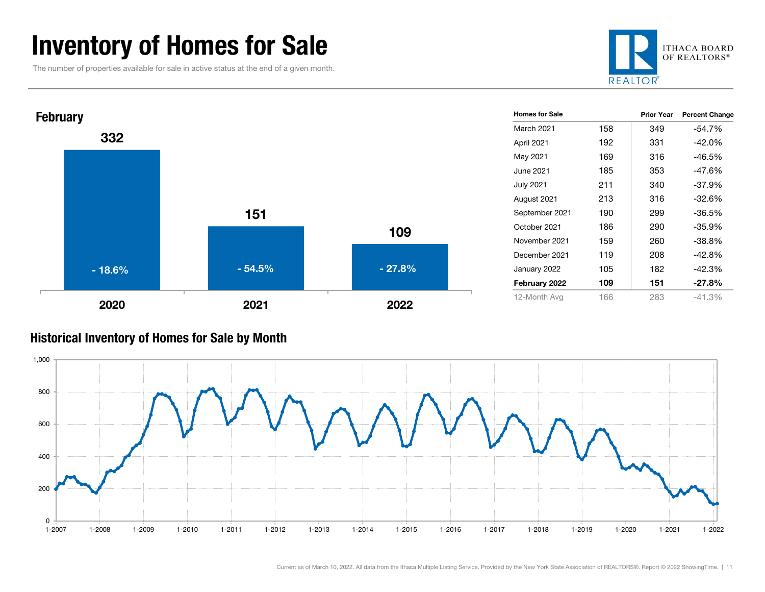### Inventory of Homes for Sale

The number of properties available for sale in active status at the end of a given month.





#### Historical Inventory of Homes for Sale by Month

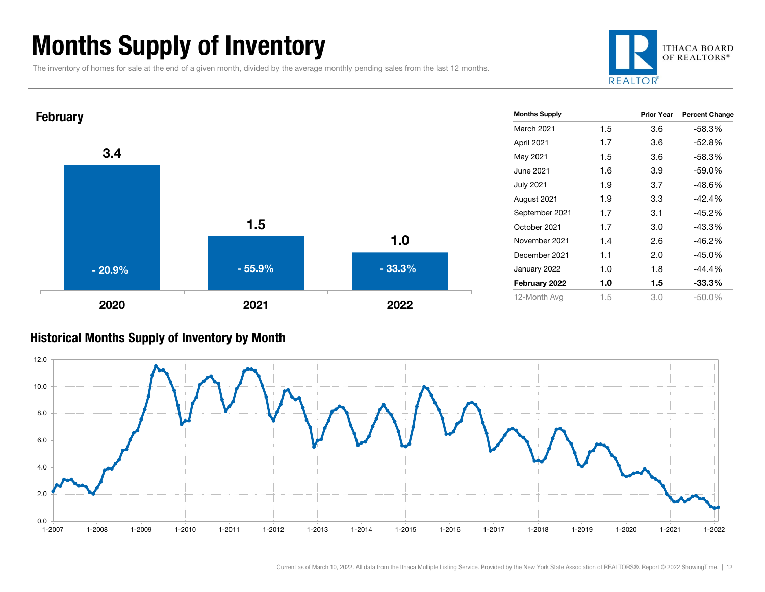### Months Supply of Inventory

The inventory of homes for sale at the end of a given month, divided by the average monthly pending sales from the last 12 months.





#### Historical Months Supply of Inventory by Month

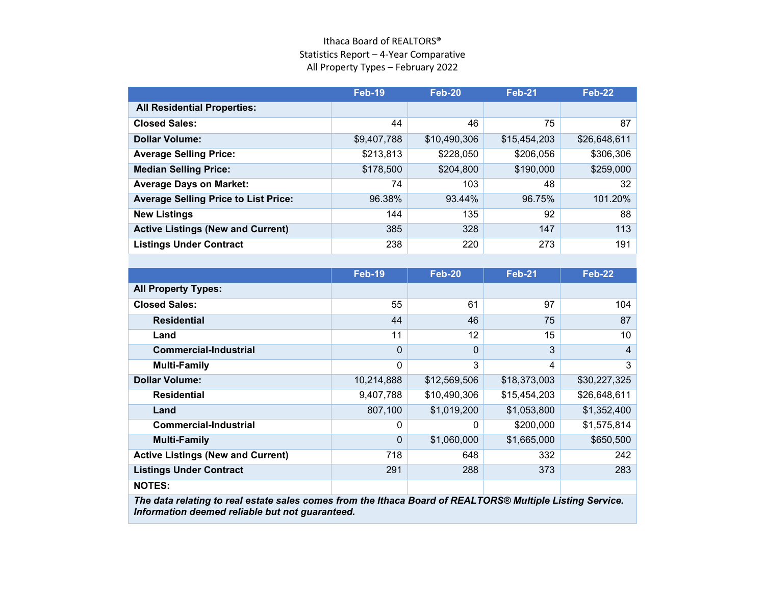#### Ithaca Board of REALTORS® Statistics Report – 4-Year Comparative All Property Types – February 2022

|                                                                                                           | <b>Feb-19</b> | <b>Feb-20</b> | <b>Feb-21</b> | <b>Feb-22</b>  |  |
|-----------------------------------------------------------------------------------------------------------|---------------|---------------|---------------|----------------|--|
| <b>All Residential Properties:</b>                                                                        |               |               |               |                |  |
| <b>Closed Sales:</b>                                                                                      | 44            | 46            | 75            | 87             |  |
| <b>Dollar Volume:</b>                                                                                     | \$9,407,788   | \$10,490,306  | \$15,454,203  | \$26,648,611   |  |
| <b>Average Selling Price:</b>                                                                             | \$213,813     | \$228,050     | \$206,056     | \$306,306      |  |
| <b>Median Selling Price:</b>                                                                              | \$178,500     | \$204,800     | \$190,000     | \$259,000      |  |
| <b>Average Days on Market:</b>                                                                            | 74            | 103           | 48            | 32             |  |
| <b>Average Selling Price to List Price:</b>                                                               | 96.38%        | 93.44%        | 96.75%        | 101.20%        |  |
| <b>New Listings</b>                                                                                       | 144           | 135           | 92            | 88             |  |
| <b>Active Listings (New and Current)</b>                                                                  | 385           | 328           | 147           | 113            |  |
| <b>Listings Under Contract</b>                                                                            | 238           | 220           | 273           | 191            |  |
|                                                                                                           |               |               |               |                |  |
|                                                                                                           | <b>Feb-19</b> | <b>Feb-20</b> | <b>Feb-21</b> | <b>Feb-22</b>  |  |
| <b>All Property Types:</b>                                                                                |               |               |               |                |  |
| <b>Closed Sales:</b>                                                                                      | 55            | 61            | 97            | 104            |  |
| <b>Residential</b>                                                                                        | 44            | 46            | 75            | 87             |  |
| Land                                                                                                      | 11            | 12            | 15            | 10             |  |
| <b>Commercial-Industrial</b>                                                                              | $\mathbf 0$   | $\Omega$      | 3             | $\overline{4}$ |  |
| <b>Multi-Family</b>                                                                                       | $\mathbf 0$   | 3             | 4             | 3              |  |
| <b>Dollar Volume:</b>                                                                                     | 10,214,888    | \$12,569,506  | \$18,373,003  | \$30,227,325   |  |
| <b>Residential</b>                                                                                        | 9,407,788     | \$10,490,306  | \$15,454,203  | \$26,648,611   |  |
| Land                                                                                                      | 807,100       | \$1,019,200   | \$1,053,800   | \$1,352,400    |  |
| <b>Commercial-Industrial</b>                                                                              | $\mathbf{0}$  | 0             | \$200,000     | \$1,575,814    |  |
| <b>Multi-Family</b>                                                                                       | $\Omega$      | \$1,060,000   | \$1,665,000   | \$650,500      |  |
| <b>Active Listings (New and Current)</b>                                                                  | 718           | 648           | 332           | 242            |  |
| <b>Listings Under Contract</b>                                                                            | 291           | 288           | 373           | 283            |  |
| <b>NOTES:</b>                                                                                             |               |               |               |                |  |
| The data relating to real estate sales comes from the Ithaca Board of REALTORS® Multiple Listing Service. |               |               |               |                |  |

*Information deemed reliable but not guaranteed.*